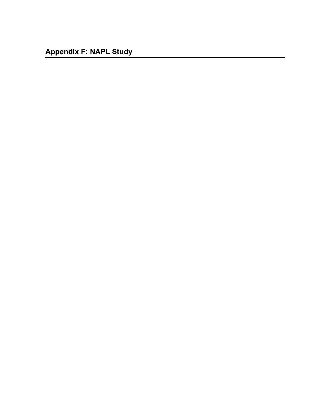**Appendix F: NAPL Study**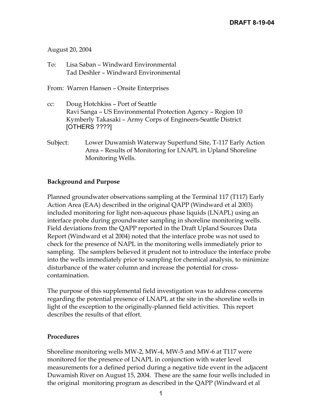### August 20, 2004

To: Lisa Saban – Windward Environmental Tad Deshler – Windward Environmental

From: Warren Hansen – Onsite Enterprises

- cc: Doug Hotchkiss Port of Seattle Ravi Sanga – US Environmental Protection Agency – Region 10 Kymberly Takasaki – Army Corps of Engineers-Seattle District [OTHERS ????]
- Subject: Lower Duwamish Waterway Superfund Site, T-117 Early Action Area – Results of Monitoring for LNAPL in Upland Shoreline Monitoring Wells.

### **Background and Purpose**

Planned groundwater observations sampling at the Terminal 117 (T117) Early Action Area (EAA) described in the original QAPP (Windward et al 2003) included monitoring for light non-aqueous phase liquids (LNAPL) using an interface probe during groundwater sampling in shoreline monitoring wells. Field deviations from the QAPP reported in the Draft Upland Sources Data Report (Windward et al 2004) noted that the interface probe was not used to check for the presence of NAPL in the monitoring wells immediately prior to sampling. The samplers believed it prudent not to introduce the interface probe into the wells immediately prior to sampling for chemical analysis, to minimize disturbance of the water column and increase the potential for crosscontamination.

The purpose of this supplemental field investigation was to address concerns regarding the potential presence of LNAPL at the site in the shoreline wells in light of the exception to the originally-planned field activities. This report describes the results of that effort.

#### **Procedures**

Shoreline monitoring wells MW-2, MW-4, MW-5 and MW-6 at T117 were monitored for the presence of LNAPL in conjunction with water level measurements for a defined period during a negative tide event in the adjacent Duwamish River on August 15, 2004. These are the same four wells included in the original monitoring program as described in the QAPP (Windward et al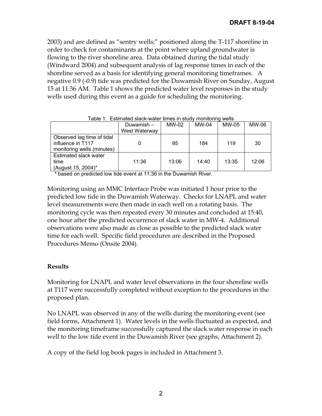2003) and are defined as "sentry wells;" positioned along the T-117 shoreline in order to check for contaminants at the point where upland groundwater is flowing to the river shoreline area. Data obtained during the tidal study (Windward 2004) and subsequent analysis of lag response times in each of the shoreline served as a basis for identifying general monitoring timeframes. A negative 0.9 (-0.9) tide was predicted for the Duwamish River on Sunday, August 15 at 11:36 AM. Table 1 shows the predicted water level responses in the study wells used during this event as a guide for scheduling the monitoring.

| Lable T. EStimated Slack-Water times in Study monitoring weils |               |       |       |       |       |
|----------------------------------------------------------------|---------------|-------|-------|-------|-------|
|                                                                | Duwamish-     | MW-02 | MW-04 | MW-05 | MW-06 |
|                                                                | West Waterway |       |       |       |       |
| Observed lag time of tidal                                     |               |       |       |       |       |
| influence in T117                                              |               | 95    | 184   | 119   | 30    |
| monitoring wells (minutes)                                     |               |       |       |       |       |
| Estimated slack water                                          |               |       |       |       |       |
| time                                                           | 11:36         | 13:06 | 14:40 | 13:35 | 12:06 |
| (August 15, 2004)*                                             |               |       |       |       |       |

Table 1. Estimated slack-water times in study monitoring wells

\* based on predicted low tide event at 11:36 in the Duwamish River.

Monitoring using an MMC Interface Probe was initiated 1 hour prior to the predicted low tide in the Duwamish Waterway. Checks for LNAPL and water level measurements were then made in each well on a rotating basis. The monitoring cycle was then repeated every 30 minutes and concluded at 15:40, one hour after the predicted occurrence of slack water in MW-4. Additional observations were also made as close as possible to the predicted slack water time for each well. Specific field procedures are described in the Proposed Procedures Memo (Onsite 2004).

### **Results**

Monitoring for LNAPL and water level observations in the four shoreline wells at T117 were successfully completed without exception to the procedures in the proposed plan.

No LNAPL was observed in any of the wells during the monitoring event (see field forms, Attachment 1). Water levels in the wells fluctuated as expected, and the monitoring timeframe successfully captured the slack water response in each well to the low tide event in the Duwamish River (see graphs, Attachment 2).

A copy of the field log book pages is included in Attachment 3.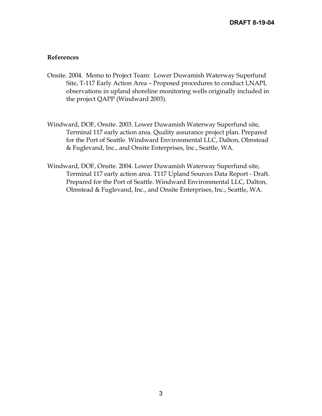#### **References**

- Onsite. 2004. Memo to Project Team: Lower Duwamish Waterway Superfund Site, T-117 Early Action Area – Proposed procedures to conduct LNAPL observations in upland shoreline monitoring wells originally included in the project QAPP (Windward 2003).
- Windward, DOF, Onsite. 2003. Lower Duwamish Waterway Superfund site, Terminal 117 early action area. Quality assurance project plan. Prepared for the Port of Seattle. Windward Environmental LLC, Dalton, Olmstead & Fuglevand, Inc., and Onsite Enterprises, Inc., Seattle, WA.
- Windward, DOF, Onsite. 2004. Lower Duwamish Waterway Superfund site, Terminal 117 early action area. T117 Upland Sources Data Report - Draft. Prepared for the Port of Seattle. Windward Environmental LLC, Dalton, Olmstead & Fuglevand, Inc., and Onsite Enterprises, Inc., Seattle, WA.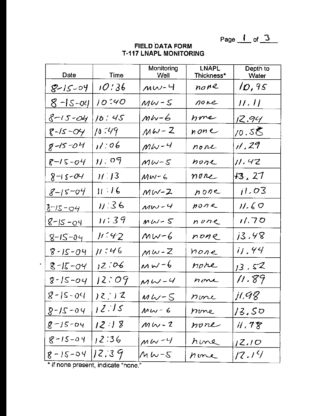Page  $1$  of  $3$ 

| Date            | Time           | Monitoring<br><u>Well</u>     | LNAPL<br>Thickness* | Depth to<br>Water                 |
|-----------------|----------------|-------------------------------|---------------------|-----------------------------------|
| $8 - 15 - 04$   | 10:36          | $MW-4$                        | none                | 10,95                             |
| $8 - 15 - 04$   | 10540          | $MW-S$                        | none                | H/H                               |
| $8 - 15 - 04$   | 10:45          | $MW-6$                        | none                | <u>12.94 </u>                     |
| $8 - 15 - 04$   | /0 :49         | $MW - Z$                      | none                | /0.SQ                             |
| 8-15-04         | 11:06          | $MW-4$                        | none                | $\mathcal{U}$ , 29                |
| $8 - 15 - 04$   | $W_{\rm s}$ og | $MW-S$                        | わかりん                | 11.42                             |
| $8 - 15 - 04$   | $11^{11}$      | $MW-G$                        | none                | 43, 27                            |
| $8 - 15 - 04$   | 11/16          | $MW - Z$                      | none                | 11.03                             |
| <u>8-15-04 </u> | 11:36          | $MW-4$                        | $p$ one             | 11.60                             |
| <u>8-15-04</u>  | 11:39          | $MW-S$                        | none                | 11.70                             |
| <u>8-15-04</u>  | 11.42          | MW-6                          | none                | 13.48                             |
| $8 - 15 - 04$   | 11:46          | $MW-Z$                        | none                | iJ.44                             |
| 8-15-04         | 12.706         | $M_{W^-}$ 6                   | nore                | 13.52                             |
| $8 - 15 - 04$   | <u>12:09</u>   | $MW-4$                        | none                | 11.89                             |
| $8 - 15 - 04$   | ) 2 ¦ ) 2      | $M\,$ L $\vee$ – $\mathcal S$ | none                | j1.98                             |
| $9 - 21 - 8$    | 12.15          | $MW - 6$                      | none                | 13.50                             |
| $8 - 15 - 04$   | 12:18          | $M_{V}$ - 2                   | none                | $\mathcal{U}$ , $7\, \mathcal{E}$ |
| $8 - 15 - 04$   | ,2:36          | $M W - 4$                     | hine                | 12.10                             |
| $8 - 12 - 54$   | 12.39          | $\mu$ W-S                     | none                | 12.14                             |

# **FIELD DATA FORM T-117 LNAPL MONITORING**

\* if none present, indicate "none."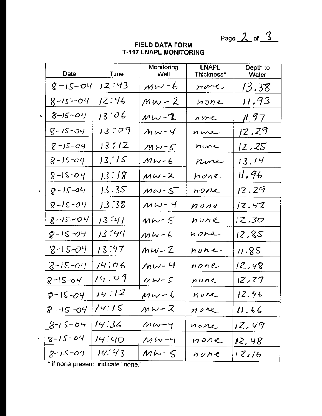Page  $2 of 3$ 

|   | Date          | Time    | Monitoring<br><u>Well</u> | <b>LNAPL</b><br>Thickness* | Depth to<br><b>Water</b> |
|---|---------------|---------|---------------------------|----------------------------|--------------------------|
|   | $8 - 15 - 04$ | 12:43   | $MW-6$                    | none                       | <u>13.38</u>             |
|   | $8 - 15 - 04$ | IZ:46   | <u> Mw - 2</u>            | $h$ one                    | <u>11.93</u>             |
|   | $8 - 15 - 04$ | 13.06   | $MW - 7$                  | hove                       | <u>ji, 97 </u>           |
|   | $8 - 15 - 04$ | 13:09   | $Mw-4$                    | none                       | 12.29                    |
|   | $8 - 15 - 04$ | 137/2   | $MW-S$                    | nwe                        | 12.25                    |
|   | $8 - 15 - 04$ | 13.75   | $Mw-6$                    | rone                       | 13.14                    |
|   | $8 - 15 - 04$ | 13:18   | $MW-2$                    | hone                       | $\eta$ , 96              |
| × | $8 - 15 - 04$ | 13:35   | $M\omega$ - $S$           | none                       | 12.29                    |
|   | $8 - 15 - 04$ | 13.38   | $MW-4$                    | none                       | jZ.4Z                    |
|   | $8 - 15 - 04$ | 13:41   | $MW-S$                    | $n$ one                    | 12.30                    |
|   | $8 - 15 - 04$ | 13 : 44 | $MW-6$                    | none                       | 12.85                    |
|   | $8 - 15 - 04$ | 13:47   | $MW-2$                    | none                       | 11.85                    |
|   | $8 - 15 - 04$ | 14:06   | $MW-4$                    | none                       | 12.48                    |
|   | $8 - 15 - 04$ | 14:09   | $MW-S$                    | none                       | 12, 27                   |
|   | 8-15-04       | 14/712  | $MW - 6$                  | nore                       | 12,46                    |
|   | $8 - 15 - 04$ | 14:15   | $Mw - 2$                  | none                       | 11.66                    |
|   | $8 - 15 - 04$ | 14:36   | $MW - 4$                  | none                       | 12,49                    |
|   | $8 - 12 - 04$ | 14.40   | $M$ W – 4                 | none                       | 12, 48                   |
|   | 8-15-04       | 14:43   | $M\omega$ - 5             | りのなと                       | <i>12.16</i>             |

# **FIELD DATA FORM T-117 LNAPL MONITORING**

\* if none present, indicate "none."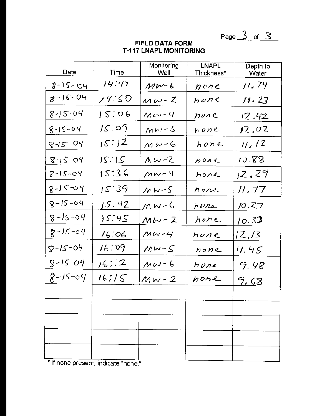Page  $\overline{3}$  of  $\overline{3}$ 

| Date                        | Time         | Monitoring<br>Well | <b>LNAPL</b><br>Thickness* | Depth to<br>Water |
|-----------------------------|--------------|--------------------|----------------------------|-------------------|
| <u>8-15-04</u>              | 14:47        | $MW - 6$           | pone                       | <u>11, 74</u>     |
| $8 - 12 - 04$               | 14.50        | $MW-Z$             | $h$ one                    | 10.23             |
| $8 - 15 - 04$               | 15:06        | $Mw-4$             | none                       | 17.42             |
| 8-15-04                     | 15.04        | $MW-S$             | $h$ one                    | 12,02             |
| $8 - 15 - 04$               | 157/2        | $MW-G$             | $h$ one                    | 11/12             |
| $8 - 215$                   | 5:15         | $MW-Z$             | none                       | 10.88             |
| $8 - 15 - 04$               | 15:36        | $MW-4$             | hone                       | 12.29             |
| $8 - 15 - 94$               | 15:39        | $MW-S$             | none                       | <u>11, 77</u>     |
| $8 - 15 - 04$               | 15.42        | <u> MW-6</u>       | pone                       | <u>10.Z7</u>      |
| 8-15-04                     | 15.45        | <u>MW-2</u>        | $h$ one                    | 10.33             |
| 8-15-04                     | 16:06        | $MW - 4$           | $hone$                     | <u>12.13</u>      |
| 8-15-04                     | 16:09        | $MW-S$             | $h$ one                    | <u>11.45</u>      |
| $8 - 15 - 04$               | <u>16:12</u> | $Mw-6$             | hone                       | <u> 9.48</u>      |
| 8-15-04                     | 16715        | $Mw-2$             | none                       | <u>9,68</u>       |
|                             |              |                    |                            |                   |
|                             |              |                    |                            |                   |
|                             |              |                    |                            |                   |
|                             |              |                    |                            |                   |
| $\mathbf{r}$ : $\mathbf{r}$ |              |                    |                            |                   |

## **FIELD DATA FORM T-117 LNAPL MONITORING**

\* if none present, indicate "none."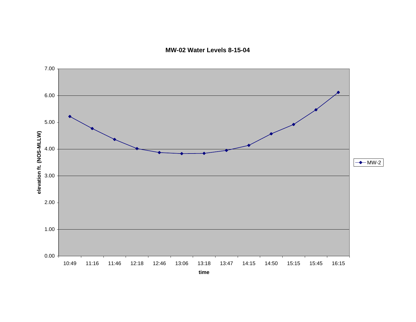**MW-02 Water Levels 8-15-04**

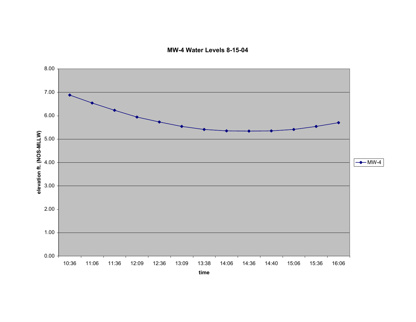**MW-4 Water Levels 8-15-04**

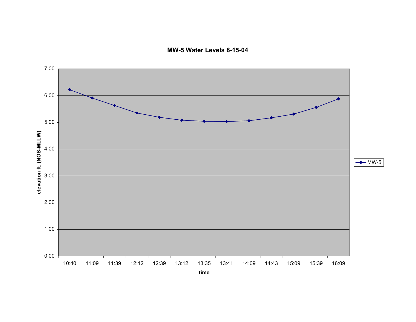**MW-5 Water Levels 8-15-04**

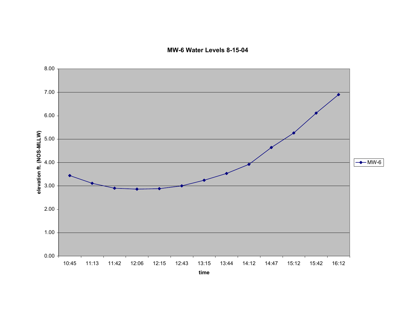**MW-6 Water Levels 8-15-04**

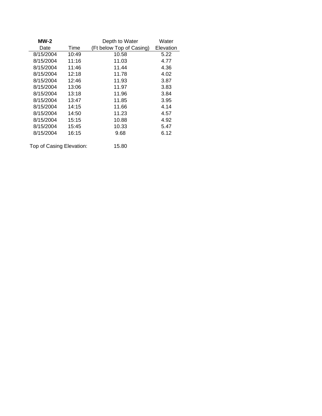| $MW-2$    |       | Depth to Water           | Water     |
|-----------|-------|--------------------------|-----------|
| Date      | Time  | (Ft below Top of Casing) | Elevation |
| 8/15/2004 | 10:49 | 10.58                    | 5.22      |
| 8/15/2004 | 11:16 | 11.03                    | 4.77      |
| 8/15/2004 | 11:46 | 11.44                    | 4.36      |
| 8/15/2004 | 12:18 | 11.78                    | 4.02      |
| 8/15/2004 | 12:46 | 11.93                    | 3.87      |
| 8/15/2004 | 13:06 | 11.97                    | 3.83      |
| 8/15/2004 | 13:18 | 11.96                    | 3.84      |
| 8/15/2004 | 13:47 | 11.85                    | 3.95      |
| 8/15/2004 | 14:15 | 11.66                    | 4.14      |
| 8/15/2004 | 14:50 | 11.23                    | 4.57      |
| 8/15/2004 | 15:15 | 10.88                    | 4.92      |
| 8/15/2004 | 15:45 | 10.33                    | 5.47      |
| 8/15/2004 | 16:15 | 9.68                     | 6.12      |
|           |       |                          |           |

Top of Casing Elevation: 15.80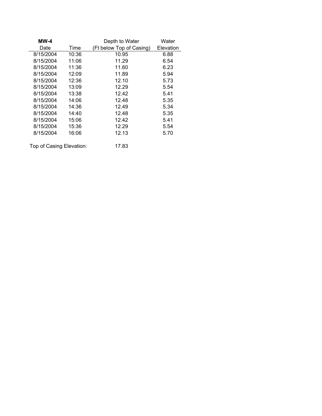| <b>MW-4</b>              |       | Depth to Water           | Water     |
|--------------------------|-------|--------------------------|-----------|
| Date                     | Time  | (Ft below Top of Casing) | Elevation |
| 8/15/2004                | 10:36 | 10.95                    | 6.88      |
| 8/15/2004                | 11:06 | 11.29                    | 6.54      |
| 8/15/2004                | 11:36 | 11.60                    | 6.23      |
| 8/15/2004                | 12:09 | 11.89                    | 5.94      |
| 8/15/2004                | 12:36 | 12.10                    | 5.73      |
| 8/15/2004                | 13:09 | 12.29                    | 5.54      |
| 8/15/2004                | 13:38 | 12.42                    | 5.41      |
| 8/15/2004                | 14:06 | 12.48                    | 5.35      |
| 8/15/2004                | 14:36 | 12.49                    | 5.34      |
| 8/15/2004                | 14:40 | 12.48                    | 5.35      |
| 8/15/2004                | 15:06 | 12.42                    | 5.41      |
| 8/15/2004                | 15:36 | 12.29                    | 5.54      |
| 8/15/2004                | 16:06 | 12.13                    | 5.70      |
| Top of Casing Elevation: |       | 17.83                    |           |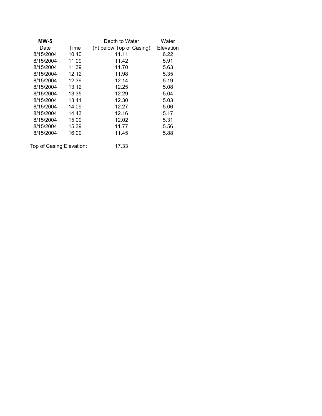| <b>MW-5</b>              |       | Depth to Water           | Water     |
|--------------------------|-------|--------------------------|-----------|
| Date                     | Time  | (Ft below Top of Casing) | Elevation |
| 8/15/2004                | 10:40 | 11.11                    | 6.22      |
| 8/15/2004                | 11:09 | 11.42                    | 5.91      |
| 8/15/2004                | 11:39 | 11.70                    | 5.63      |
| 8/15/2004                | 12:12 | 11.98                    | 5.35      |
| 8/15/2004                | 12:39 | 12.14                    | 5.19      |
| 8/15/2004                | 13:12 | 12.25                    | 5.08      |
| 8/15/2004                | 13:35 | 12.29                    | 5.04      |
| 8/15/2004                | 13:41 | 12.30                    | 5.03      |
| 8/15/2004                | 14:09 | 12.27                    | 5.06      |
| 8/15/2004                | 14:43 | 12.16                    | 5.17      |
| 8/15/2004                | 15:09 | 12.02                    | 5.31      |
| 8/15/2004                | 15:39 | 11.77                    | 5.56      |
| 8/15/2004                | 16:09 | 11.45                    | 5.88      |
| Top of Casing Elevation: |       | 17.33                    |           |